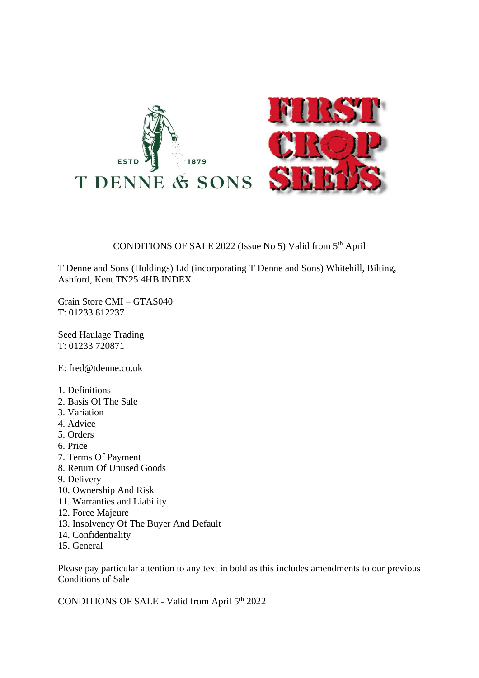

CONDITIONS OF SALE 2022 (Issue No 5) Valid from 5<sup>th</sup> April

T Denne and Sons (Holdings) Ltd (incorporating T Denne and Sons) Whitehill, Bilting, Ashford, Kent TN25 4HB INDEX

Grain Store CMI – GTAS040 T: 01233 812237

Seed Haulage Trading T: 01233 720871

E: fred@tdenne.co.uk

- 1. Definitions
- 2. Basis Of The Sale
- 3. Variation
- 4. Advice
- 5. Orders
- 6. Price
- 7. Terms Of Payment
- 8. Return Of Unused Goods
- 9. Delivery
- 10. Ownership And Risk
- 11. Warranties and Liability
- 12. Force Majeure
- 13. Insolvency Of The Buyer And Default
- 14. Confidentiality
- 15. General

Please pay particular attention to any text in bold as this includes amendments to our previous Conditions of Sale

CONDITIONS OF SALE - Valid from April 5th 2022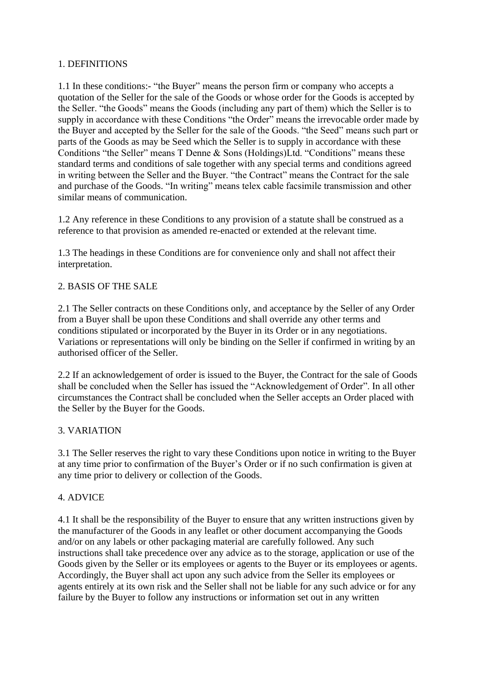# 1. DEFINITIONS

1.1 In these conditions:- "the Buyer" means the person firm or company who accepts a quotation of the Seller for the sale of the Goods or whose order for the Goods is accepted by the Seller. "the Goods" means the Goods (including any part of them) which the Seller is to supply in accordance with these Conditions "the Order" means the irrevocable order made by the Buyer and accepted by the Seller for the sale of the Goods. "the Seed" means such part or parts of the Goods as may be Seed which the Seller is to supply in accordance with these Conditions "the Seller" means T Denne & Sons (Holdings)Ltd. "Conditions" means these standard terms and conditions of sale together with any special terms and conditions agreed in writing between the Seller and the Buyer. "the Contract" means the Contract for the sale and purchase of the Goods. "In writing" means telex cable facsimile transmission and other similar means of communication.

1.2 Any reference in these Conditions to any provision of a statute shall be construed as a reference to that provision as amended re-enacted or extended at the relevant time.

1.3 The headings in these Conditions are for convenience only and shall not affect their interpretation.

## 2. BASIS OF THE SALE

2.1 The Seller contracts on these Conditions only, and acceptance by the Seller of any Order from a Buyer shall be upon these Conditions and shall override any other terms and conditions stipulated or incorporated by the Buyer in its Order or in any negotiations. Variations or representations will only be binding on the Seller if confirmed in writing by an authorised officer of the Seller.

2.2 If an acknowledgement of order is issued to the Buyer, the Contract for the sale of Goods shall be concluded when the Seller has issued the "Acknowledgement of Order". In all other circumstances the Contract shall be concluded when the Seller accepts an Order placed with the Seller by the Buyer for the Goods.

## 3. VARIATION

3.1 The Seller reserves the right to vary these Conditions upon notice in writing to the Buyer at any time prior to confirmation of the Buyer's Order or if no such confirmation is given at any time prior to delivery or collection of the Goods.

## 4. ADVICE

4.1 It shall be the responsibility of the Buyer to ensure that any written instructions given by the manufacturer of the Goods in any leaflet or other document accompanying the Goods and/or on any labels or other packaging material are carefully followed. Any such instructions shall take precedence over any advice as to the storage, application or use of the Goods given by the Seller or its employees or agents to the Buyer or its employees or agents. Accordingly, the Buyer shall act upon any such advice from the Seller its employees or agents entirely at its own risk and the Seller shall not be liable for any such advice or for any failure by the Buyer to follow any instructions or information set out in any written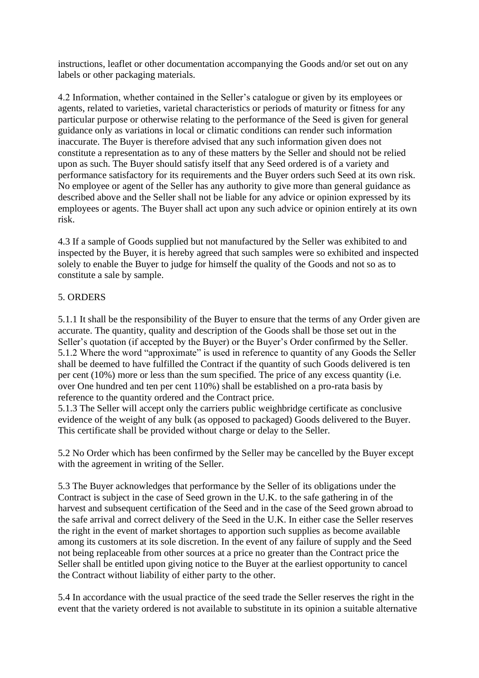instructions, leaflet or other documentation accompanying the Goods and/or set out on any labels or other packaging materials.

4.2 Information, whether contained in the Seller's catalogue or given by its employees or agents, related to varieties, varietal characteristics or periods of maturity or fitness for any particular purpose or otherwise relating to the performance of the Seed is given for general guidance only as variations in local or climatic conditions can render such information inaccurate. The Buyer is therefore advised that any such information given does not constitute a representation as to any of these matters by the Seller and should not be relied upon as such. The Buyer should satisfy itself that any Seed ordered is of a variety and performance satisfactory for its requirements and the Buyer orders such Seed at its own risk. No employee or agent of the Seller has any authority to give more than general guidance as described above and the Seller shall not be liable for any advice or opinion expressed by its employees or agents. The Buyer shall act upon any such advice or opinion entirely at its own risk.

4.3 If a sample of Goods supplied but not manufactured by the Seller was exhibited to and inspected by the Buyer, it is hereby agreed that such samples were so exhibited and inspected solely to enable the Buyer to judge for himself the quality of the Goods and not so as to constitute a sale by sample.

## 5. ORDERS

5.1.1 It shall be the responsibility of the Buyer to ensure that the terms of any Order given are accurate. The quantity, quality and description of the Goods shall be those set out in the Seller's quotation (if accepted by the Buyer) or the Buyer's Order confirmed by the Seller. 5.1.2 Where the word "approximate" is used in reference to quantity of any Goods the Seller shall be deemed to have fulfilled the Contract if the quantity of such Goods delivered is ten per cent (10%) more or less than the sum specified. The price of any excess quantity (i.e. over One hundred and ten per cent 110%) shall be established on a pro-rata basis by reference to the quantity ordered and the Contract price.

5.1.3 The Seller will accept only the carriers public weighbridge certificate as conclusive evidence of the weight of any bulk (as opposed to packaged) Goods delivered to the Buyer. This certificate shall be provided without charge or delay to the Seller.

5.2 No Order which has been confirmed by the Seller may be cancelled by the Buyer except with the agreement in writing of the Seller.

5.3 The Buyer acknowledges that performance by the Seller of its obligations under the Contract is subject in the case of Seed grown in the U.K. to the safe gathering in of the harvest and subsequent certification of the Seed and in the case of the Seed grown abroad to the safe arrival and correct delivery of the Seed in the U.K. In either case the Seller reserves the right in the event of market shortages to apportion such supplies as become available among its customers at its sole discretion. In the event of any failure of supply and the Seed not being replaceable from other sources at a price no greater than the Contract price the Seller shall be entitled upon giving notice to the Buyer at the earliest opportunity to cancel the Contract without liability of either party to the other.

5.4 In accordance with the usual practice of the seed trade the Seller reserves the right in the event that the variety ordered is not available to substitute in its opinion a suitable alternative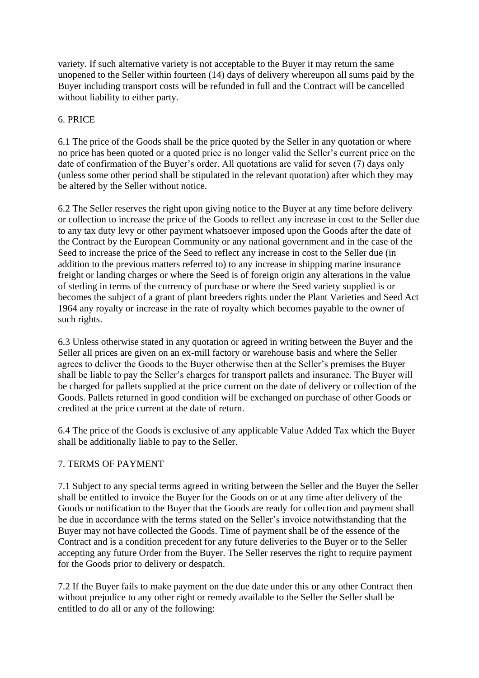variety. If such alternative variety is not acceptable to the Buyer it may return the same unopened to the Seller within fourteen (14) days of delivery whereupon all sums paid by the Buyer including transport costs will be refunded in full and the Contract will be cancelled without liability to either party.

## 6. PRICE

6.1 The price of the Goods shall be the price quoted by the Seller in any quotation or where no price has been quoted or a quoted price is no longer valid the Seller's current price on the date of confirmation of the Buyer's order. All quotations are valid for seven (7) days only (unless some other period shall be stipulated in the relevant quotation) after which they may be altered by the Seller without notice.

6.2 The Seller reserves the right upon giving notice to the Buyer at any time before delivery or collection to increase the price of the Goods to reflect any increase in cost to the Seller due to any tax duty levy or other payment whatsoever imposed upon the Goods after the date of the Contract by the European Community or any national government and in the case of the Seed to increase the price of the Seed to reflect any increase in cost to the Seller due (in addition to the previous matters referred to) to any increase in shipping marine insurance freight or landing charges or where the Seed is of foreign origin any alterations in the value of sterling in terms of the currency of purchase or where the Seed variety supplied is or becomes the subject of a grant of plant breeders rights under the Plant Varieties and Seed Act 1964 any royalty or increase in the rate of royalty which becomes payable to the owner of such rights.

6.3 Unless otherwise stated in any quotation or agreed in writing between the Buyer and the Seller all prices are given on an ex-mill factory or warehouse basis and where the Seller agrees to deliver the Goods to the Buyer otherwise then at the Seller's premises the Buyer shall be liable to pay the Seller's charges for transport pallets and insurance. The Buyer will be charged for pallets supplied at the price current on the date of delivery or collection of the Goods. Pallets returned in good condition will be exchanged on purchase of other Goods or credited at the price current at the date of return.

6.4 The price of the Goods is exclusive of any applicable Value Added Tax which the Buyer shall be additionally liable to pay to the Seller.

## 7. TERMS OF PAYMENT

7.1 Subject to any special terms agreed in writing between the Seller and the Buyer the Seller shall be entitled to invoice the Buyer for the Goods on or at any time after delivery of the Goods or notification to the Buyer that the Goods are ready for collection and payment shall be due in accordance with the terms stated on the Seller's invoice notwithstanding that the Buyer may not have collected the Goods. Time of payment shall be of the essence of the Contract and is a condition precedent for any future deliveries to the Buyer or to the Seller accepting any future Order from the Buyer. The Seller reserves the right to require payment for the Goods prior to delivery or despatch.

7.2 If the Buyer fails to make payment on the due date under this or any other Contract then without prejudice to any other right or remedy available to the Seller the Seller shall be entitled to do all or any of the following: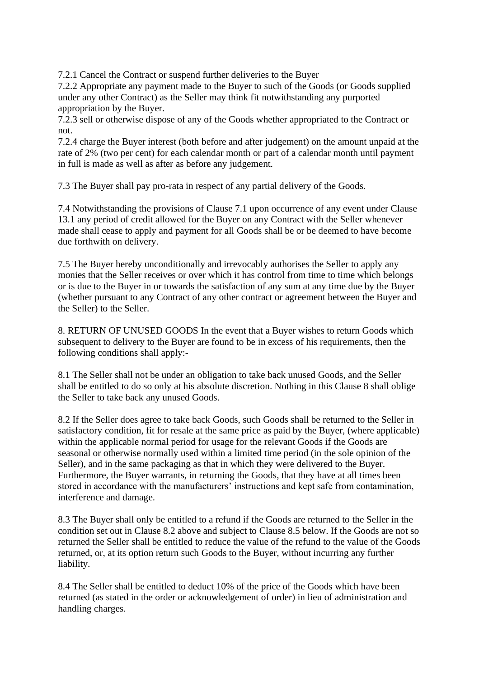7.2.1 Cancel the Contract or suspend further deliveries to the Buyer

7.2.2 Appropriate any payment made to the Buyer to such of the Goods (or Goods supplied under any other Contract) as the Seller may think fit notwithstanding any purported appropriation by the Buyer.

7.2.3 sell or otherwise dispose of any of the Goods whether appropriated to the Contract or not.

7.2.4 charge the Buyer interest (both before and after judgement) on the amount unpaid at the rate of 2% (two per cent) for each calendar month or part of a calendar month until payment in full is made as well as after as before any judgement.

7.3 The Buyer shall pay pro-rata in respect of any partial delivery of the Goods.

7.4 Notwithstanding the provisions of Clause 7.1 upon occurrence of any event under Clause 13.1 any period of credit allowed for the Buyer on any Contract with the Seller whenever made shall cease to apply and payment for all Goods shall be or be deemed to have become due forthwith on delivery.

7.5 The Buyer hereby unconditionally and irrevocably authorises the Seller to apply any monies that the Seller receives or over which it has control from time to time which belongs or is due to the Buyer in or towards the satisfaction of any sum at any time due by the Buyer (whether pursuant to any Contract of any other contract or agreement between the Buyer and the Seller) to the Seller.

8. RETURN OF UNUSED GOODS In the event that a Buyer wishes to return Goods which subsequent to delivery to the Buyer are found to be in excess of his requirements, then the following conditions shall apply:-

8.1 The Seller shall not be under an obligation to take back unused Goods, and the Seller shall be entitled to do so only at his absolute discretion. Nothing in this Clause 8 shall oblige the Seller to take back any unused Goods.

8.2 If the Seller does agree to take back Goods, such Goods shall be returned to the Seller in satisfactory condition, fit for resale at the same price as paid by the Buyer, (where applicable) within the applicable normal period for usage for the relevant Goods if the Goods are seasonal or otherwise normally used within a limited time period (in the sole opinion of the Seller), and in the same packaging as that in which they were delivered to the Buyer. Furthermore, the Buyer warrants, in returning the Goods, that they have at all times been stored in accordance with the manufacturers' instructions and kept safe from contamination, interference and damage.

8.3 The Buyer shall only be entitled to a refund if the Goods are returned to the Seller in the condition set out in Clause 8.2 above and subject to Clause 8.5 below. If the Goods are not so returned the Seller shall be entitled to reduce the value of the refund to the value of the Goods returned, or, at its option return such Goods to the Buyer, without incurring any further liability.

8.4 The Seller shall be entitled to deduct 10% of the price of the Goods which have been returned (as stated in the order or acknowledgement of order) in lieu of administration and handling charges.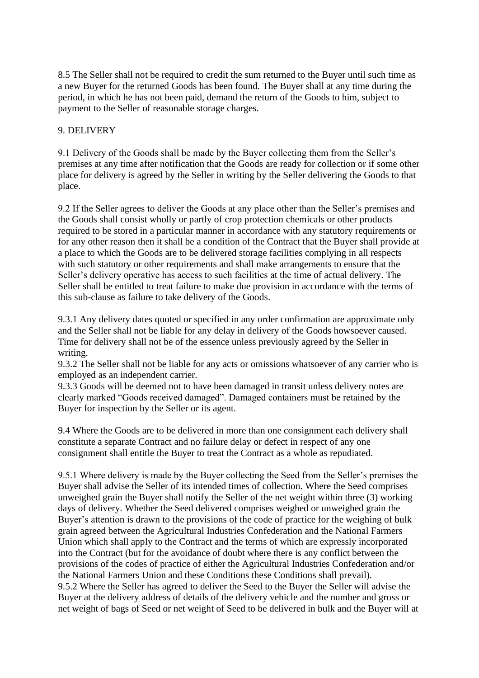8.5 The Seller shall not be required to credit the sum returned to the Buyer until such time as a new Buyer for the returned Goods has been found. The Buyer shall at any time during the period, in which he has not been paid, demand the return of the Goods to him, subject to payment to the Seller of reasonable storage charges.

### 9. DELIVERY

9.1 Delivery of the Goods shall be made by the Buyer collecting them from the Seller's premises at any time after notification that the Goods are ready for collection or if some other place for delivery is agreed by the Seller in writing by the Seller delivering the Goods to that place.

9.2 If the Seller agrees to deliver the Goods at any place other than the Seller's premises and the Goods shall consist wholly or partly of crop protection chemicals or other products required to be stored in a particular manner in accordance with any statutory requirements or for any other reason then it shall be a condition of the Contract that the Buyer shall provide at a place to which the Goods are to be delivered storage facilities complying in all respects with such statutory or other requirements and shall make arrangements to ensure that the Seller's delivery operative has access to such facilities at the time of actual delivery. The Seller shall be entitled to treat failure to make due provision in accordance with the terms of this sub-clause as failure to take delivery of the Goods.

9.3.1 Any delivery dates quoted or specified in any order confirmation are approximate only and the Seller shall not be liable for any delay in delivery of the Goods howsoever caused. Time for delivery shall not be of the essence unless previously agreed by the Seller in writing.

9.3.2 The Seller shall not be liable for any acts or omissions whatsoever of any carrier who is employed as an independent carrier.

9.3.3 Goods will be deemed not to have been damaged in transit unless delivery notes are clearly marked "Goods received damaged". Damaged containers must be retained by the Buyer for inspection by the Seller or its agent.

9.4 Where the Goods are to be delivered in more than one consignment each delivery shall constitute a separate Contract and no failure delay or defect in respect of any one consignment shall entitle the Buyer to treat the Contract as a whole as repudiated.

9.5.1 Where delivery is made by the Buyer collecting the Seed from the Seller's premises the Buyer shall advise the Seller of its intended times of collection. Where the Seed comprises unweighed grain the Buyer shall notify the Seller of the net weight within three (3) working days of delivery. Whether the Seed delivered comprises weighed or unweighed grain the Buyer's attention is drawn to the provisions of the code of practice for the weighing of bulk grain agreed between the Agricultural Industries Confederation and the National Farmers Union which shall apply to the Contract and the terms of which are expressly incorporated into the Contract (but for the avoidance of doubt where there is any conflict between the provisions of the codes of practice of either the Agricultural Industries Confederation and/or the National Farmers Union and these Conditions these Conditions shall prevail). 9.5.2 Where the Seller has agreed to deliver the Seed to the Buyer the Seller will advise the Buyer at the delivery address of details of the delivery vehicle and the number and gross or net weight of bags of Seed or net weight of Seed to be delivered in bulk and the Buyer will at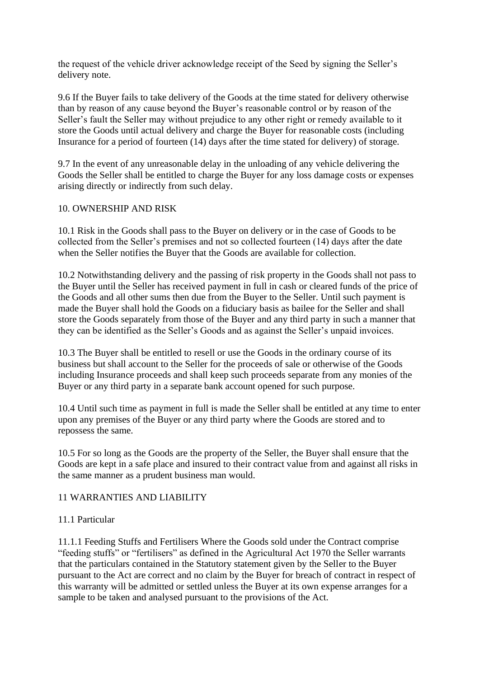the request of the vehicle driver acknowledge receipt of the Seed by signing the Seller's delivery note.

9.6 If the Buyer fails to take delivery of the Goods at the time stated for delivery otherwise than by reason of any cause beyond the Buyer's reasonable control or by reason of the Seller's fault the Seller may without prejudice to any other right or remedy available to it store the Goods until actual delivery and charge the Buyer for reasonable costs (including Insurance for a period of fourteen (14) days after the time stated for delivery) of storage.

9.7 In the event of any unreasonable delay in the unloading of any vehicle delivering the Goods the Seller shall be entitled to charge the Buyer for any loss damage costs or expenses arising directly or indirectly from such delay.

### 10. OWNERSHIP AND RISK

10.1 Risk in the Goods shall pass to the Buyer on delivery or in the case of Goods to be collected from the Seller's premises and not so collected fourteen (14) days after the date when the Seller notifies the Buyer that the Goods are available for collection.

10.2 Notwithstanding delivery and the passing of risk property in the Goods shall not pass to the Buyer until the Seller has received payment in full in cash or cleared funds of the price of the Goods and all other sums then due from the Buyer to the Seller. Until such payment is made the Buyer shall hold the Goods on a fiduciary basis as bailee for the Seller and shall store the Goods separately from those of the Buyer and any third party in such a manner that they can be identified as the Seller's Goods and as against the Seller's unpaid invoices.

10.3 The Buyer shall be entitled to resell or use the Goods in the ordinary course of its business but shall account to the Seller for the proceeds of sale or otherwise of the Goods including Insurance proceeds and shall keep such proceeds separate from any monies of the Buyer or any third party in a separate bank account opened for such purpose.

10.4 Until such time as payment in full is made the Seller shall be entitled at any time to enter upon any premises of the Buyer or any third party where the Goods are stored and to repossess the same.

10.5 For so long as the Goods are the property of the Seller, the Buyer shall ensure that the Goods are kept in a safe place and insured to their contract value from and against all risks in the same manner as a prudent business man would.

## 11 WARRANTIES AND LIABILITY

#### 11.1 Particular

11.1.1 Feeding Stuffs and Fertilisers Where the Goods sold under the Contract comprise "feeding stuffs" or "fertilisers" as defined in the Agricultural Act 1970 the Seller warrants that the particulars contained in the Statutory statement given by the Seller to the Buyer pursuant to the Act are correct and no claim by the Buyer for breach of contract in respect of this warranty will be admitted or settled unless the Buyer at its own expense arranges for a sample to be taken and analysed pursuant to the provisions of the Act.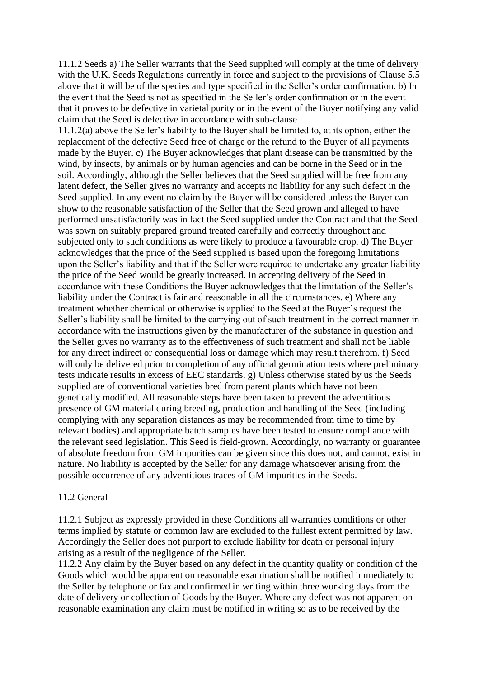11.1.2 Seeds a) The Seller warrants that the Seed supplied will comply at the time of delivery with the U.K. Seeds Regulations currently in force and subject to the provisions of Clause 5.5 above that it will be of the species and type specified in the Seller's order confirmation. b) In the event that the Seed is not as specified in the Seller's order confirmation or in the event that it proves to be defective in varietal purity or in the event of the Buyer notifying any valid claim that the Seed is defective in accordance with sub-clause

11.1.2(a) above the Seller's liability to the Buyer shall be limited to, at its option, either the replacement of the defective Seed free of charge or the refund to the Buyer of all payments made by the Buyer. c) The Buyer acknowledges that plant disease can be transmitted by the wind, by insects, by animals or by human agencies and can be borne in the Seed or in the soil. Accordingly, although the Seller believes that the Seed supplied will be free from any latent defect, the Seller gives no warranty and accepts no liability for any such defect in the Seed supplied. In any event no claim by the Buyer will be considered unless the Buyer can show to the reasonable satisfaction of the Seller that the Seed grown and alleged to have performed unsatisfactorily was in fact the Seed supplied under the Contract and that the Seed was sown on suitably prepared ground treated carefully and correctly throughout and subjected only to such conditions as were likely to produce a favourable crop. d) The Buyer acknowledges that the price of the Seed supplied is based upon the foregoing limitations upon the Seller's liability and that if the Seller were required to undertake any greater liability the price of the Seed would be greatly increased. In accepting delivery of the Seed in accordance with these Conditions the Buyer acknowledges that the limitation of the Seller's liability under the Contract is fair and reasonable in all the circumstances. e) Where any treatment whether chemical or otherwise is applied to the Seed at the Buyer's request the Seller's liability shall be limited to the carrying out of such treatment in the correct manner in accordance with the instructions given by the manufacturer of the substance in question and the Seller gives no warranty as to the effectiveness of such treatment and shall not be liable for any direct indirect or consequential loss or damage which may result therefrom. f) Seed will only be delivered prior to completion of any official germination tests where preliminary tests indicate results in excess of EEC standards. g) Unless otherwise stated by us the Seeds supplied are of conventional varieties bred from parent plants which have not been genetically modified. All reasonable steps have been taken to prevent the adventitious presence of GM material during breeding, production and handling of the Seed (including complying with any separation distances as may be recommended from time to time by relevant bodies) and appropriate batch samples have been tested to ensure compliance with the relevant seed legislation. This Seed is field-grown. Accordingly, no warranty or guarantee of absolute freedom from GM impurities can be given since this does not, and cannot, exist in nature. No liability is accepted by the Seller for any damage whatsoever arising from the possible occurrence of any adventitious traces of GM impurities in the Seeds.

#### 11.2 General

11.2.1 Subject as expressly provided in these Conditions all warranties conditions or other terms implied by statute or common law are excluded to the fullest extent permitted by law. Accordingly the Seller does not purport to exclude liability for death or personal injury arising as a result of the negligence of the Seller.

11.2.2 Any claim by the Buyer based on any defect in the quantity quality or condition of the Goods which would be apparent on reasonable examination shall be notified immediately to the Seller by telephone or fax and confirmed in writing within three working days from the date of delivery or collection of Goods by the Buyer. Where any defect was not apparent on reasonable examination any claim must be notified in writing so as to be received by the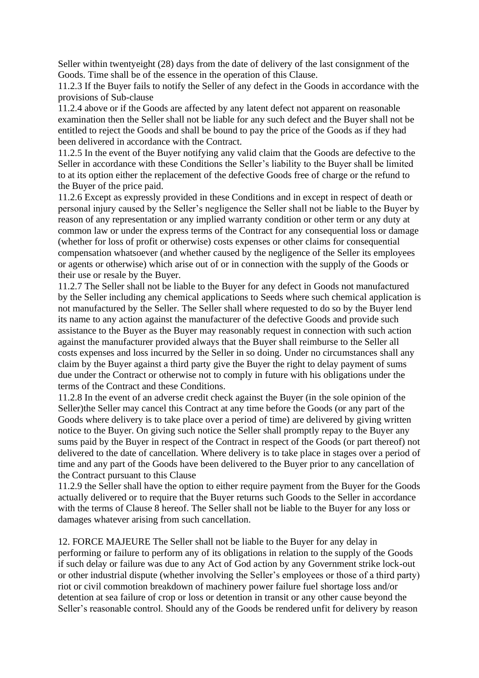Seller within twentyeight (28) days from the date of delivery of the last consignment of the Goods. Time shall be of the essence in the operation of this Clause.

11.2.3 If the Buyer fails to notify the Seller of any defect in the Goods in accordance with the provisions of Sub-clause

11.2.4 above or if the Goods are affected by any latent defect not apparent on reasonable examination then the Seller shall not be liable for any such defect and the Buyer shall not be entitled to reject the Goods and shall be bound to pay the price of the Goods as if they had been delivered in accordance with the Contract.

11.2.5 In the event of the Buyer notifying any valid claim that the Goods are defective to the Seller in accordance with these Conditions the Seller's liability to the Buyer shall be limited to at its option either the replacement of the defective Goods free of charge or the refund to the Buyer of the price paid.

11.2.6 Except as expressly provided in these Conditions and in except in respect of death or personal injury caused by the Seller's negligence the Seller shall not be liable to the Buyer by reason of any representation or any implied warranty condition or other term or any duty at common law or under the express terms of the Contract for any consequential loss or damage (whether for loss of profit or otherwise) costs expenses or other claims for consequential compensation whatsoever (and whether caused by the negligence of the Seller its employees or agents or otherwise) which arise out of or in connection with the supply of the Goods or their use or resale by the Buyer.

11.2.7 The Seller shall not be liable to the Buyer for any defect in Goods not manufactured by the Seller including any chemical applications to Seeds where such chemical application is not manufactured by the Seller. The Seller shall where requested to do so by the Buyer lend its name to any action against the manufacturer of the defective Goods and provide such assistance to the Buyer as the Buyer may reasonably request in connection with such action against the manufacturer provided always that the Buyer shall reimburse to the Seller all costs expenses and loss incurred by the Seller in so doing. Under no circumstances shall any claim by the Buyer against a third party give the Buyer the right to delay payment of sums due under the Contract or otherwise not to comply in future with his obligations under the terms of the Contract and these Conditions.

11.2.8 In the event of an adverse credit check against the Buyer (in the sole opinion of the Seller)the Seller may cancel this Contract at any time before the Goods (or any part of the Goods where delivery is to take place over a period of time) are delivered by giving written notice to the Buyer. On giving such notice the Seller shall promptly repay to the Buyer any sums paid by the Buyer in respect of the Contract in respect of the Goods (or part thereof) not delivered to the date of cancellation. Where delivery is to take place in stages over a period of time and any part of the Goods have been delivered to the Buyer prior to any cancellation of the Contract pursuant to this Clause

11.2.9 the Seller shall have the option to either require payment from the Buyer for the Goods actually delivered or to require that the Buyer returns such Goods to the Seller in accordance with the terms of Clause 8 hereof. The Seller shall not be liable to the Buyer for any loss or damages whatever arising from such cancellation.

12. FORCE MAJEURE The Seller shall not be liable to the Buyer for any delay in performing or failure to perform any of its obligations in relation to the supply of the Goods if such delay or failure was due to any Act of God action by any Government strike lock-out or other industrial dispute (whether involving the Seller's employees or those of a third party) riot or civil commotion breakdown of machinery power failure fuel shortage loss and/or detention at sea failure of crop or loss or detention in transit or any other cause beyond the Seller's reasonable control. Should any of the Goods be rendered unfit for delivery by reason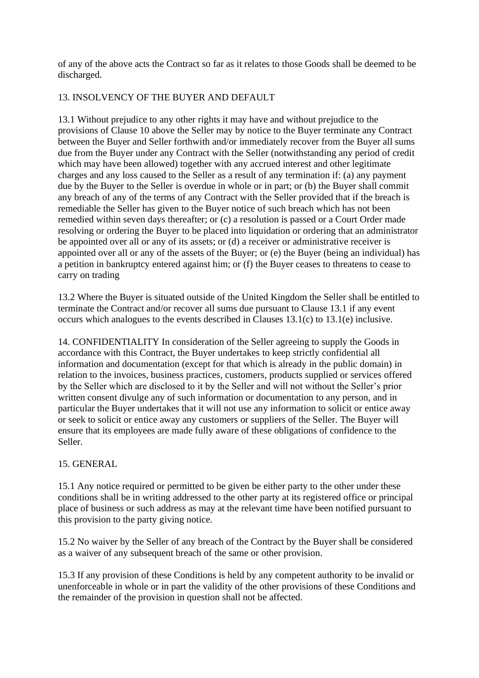of any of the above acts the Contract so far as it relates to those Goods shall be deemed to be discharged.

# 13. INSOLVENCY OF THE BUYER AND DEFAULT

13.1 Without prejudice to any other rights it may have and without prejudice to the provisions of Clause 10 above the Seller may by notice to the Buyer terminate any Contract between the Buyer and Seller forthwith and/or immediately recover from the Buyer all sums due from the Buyer under any Contract with the Seller (notwithstanding any period of credit which may have been allowed) together with any accrued interest and other legitimate charges and any loss caused to the Seller as a result of any termination if: (a) any payment due by the Buyer to the Seller is overdue in whole or in part; or (b) the Buyer shall commit any breach of any of the terms of any Contract with the Seller provided that if the breach is remediable the Seller has given to the Buyer notice of such breach which has not been remedied within seven days thereafter; or (c) a resolution is passed or a Court Order made resolving or ordering the Buyer to be placed into liquidation or ordering that an administrator be appointed over all or any of its assets; or (d) a receiver or administrative receiver is appointed over all or any of the assets of the Buyer; or (e) the Buyer (being an individual) has a petition in bankruptcy entered against him; or (f) the Buyer ceases to threatens to cease to carry on trading

13.2 Where the Buyer is situated outside of the United Kingdom the Seller shall be entitled to terminate the Contract and/or recover all sums due pursuant to Clause 13.1 if any event occurs which analogues to the events described in Clauses 13.1(c) to 13.1(e) inclusive.

14. CONFIDENTIALITY In consideration of the Seller agreeing to supply the Goods in accordance with this Contract, the Buyer undertakes to keep strictly confidential all information and documentation (except for that which is already in the public domain) in relation to the invoices, business practices, customers, products supplied or services offered by the Seller which are disclosed to it by the Seller and will not without the Seller's prior written consent divulge any of such information or documentation to any person, and in particular the Buyer undertakes that it will not use any information to solicit or entice away or seek to solicit or entice away any customers or suppliers of the Seller. The Buyer will ensure that its employees are made fully aware of these obligations of confidence to the Seller.

## 15. GENERAL

15.1 Any notice required or permitted to be given be either party to the other under these conditions shall be in writing addressed to the other party at its registered office or principal place of business or such address as may at the relevant time have been notified pursuant to this provision to the party giving notice.

15.2 No waiver by the Seller of any breach of the Contract by the Buyer shall be considered as a waiver of any subsequent breach of the same or other provision.

15.3 If any provision of these Conditions is held by any competent authority to be invalid or unenforceable in whole or in part the validity of the other provisions of these Conditions and the remainder of the provision in question shall not be affected.